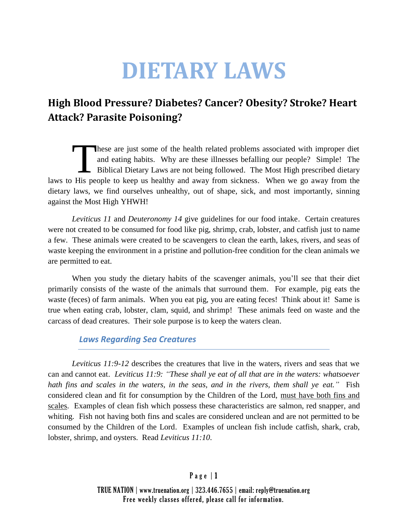# **DIETARY LAWS**

# **High Blood Pressure? Diabetes? Cancer? Obesity? Stroke? Heart Attack? Parasite Poisoning?**

hese are just some of the health related problems associated with improper diet and eating habits. Why are these illnesses befalling our people? Simple! The Biblical Dietary Laws are not being followed. The Most High prescribed dietary laws to His people to keep us healthy and away from sickness. When we go away from the dietary laws, we find ourselves unhealthy, out of shape, sick, and most importantly, sinning against the Most High YHWH!  $\prod$ 

*Leviticus 11* and *Deuteronomy 14* give guidelines for our food intake. Certain creatures were not created to be consumed for food like pig, shrimp, crab, lobster, and catfish just to name a few. These animals were created to be scavengers to clean the earth, lakes, rivers, and seas of waste keeping the environment in a pristine and pollution-free condition for the clean animals we are permitted to eat.

When you study the dietary habits of the scavenger animals, you'll see that their diet primarily consists of the waste of the animals that surround them. For example, pig eats the waste (feces) of farm animals. When you eat pig, you are eating feces! Think about it! Same is true when eating crab, lobster, clam, squid, and shrimp! These animals feed on waste and the carcass of dead creatures. Their sole purpose is to keep the waters clean.

# *Laws Regarding Sea Creatures*

*Leviticus 11:9-12* describes the creatures that live in the waters, rivers and seas that we can and cannot eat. *Leviticus 11:9: "These shall ye eat of all that are in the waters: whatsoever hath fins and scales in the waters, in the seas, and in the rivers, them shall ye eat."* Fish considered clean and fit for consumption by the Children of the Lord, must have both fins and scales. Examples of clean fish which possess these characteristics are salmon, red snapper, and whiting. Fish not having both fins and scales are considered unclean and are not permitted to be consumed by the Children of the Lord. Examples of unclean fish include catfish, shark, crab, lobster, shrimp, and oysters. Read *Leviticus 11:10*.

# Page  $|1$

TRUE NATION | www.truenation.org | 323.446.7655 | email: reply@truenation.org Free weekly classes offered, please call for information.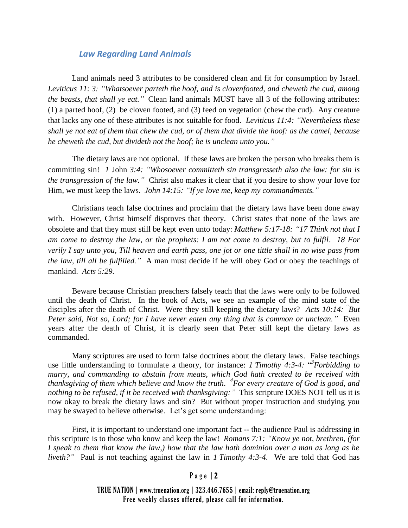# *Law Regarding Land Animals*

Land animals need 3 attributes to be considered clean and fit for consumption by Israel. *Leviticus 11: 3: "Whatsoever parteth the hoof, and is clovenfooted, and cheweth the cud, among the beasts, that shall ye eat."* Clean land animals MUST have all 3 of the following attributes: (1) a parted hoof, (2) be cloven footed, and (3) feed on vegetation (chew the cud). Any creature that lacks any one of these attributes is not suitable for food. *Leviticus 11:4: "Nevertheless these shall ye not eat of them that chew the cud, or of them that divide the hoof: as the camel, because he cheweth the cud, but divideth not the hoof; he is unclean unto you."*

The dietary laws are not optional. If these laws are broken the person who breaks them is committing sin! *1* John *3:4: "Whosoever committeth sin transgresseth also the law: for sin is the transgression of the law."* Christ also makes it clear that if you desire to show your love for Him, we must keep the laws. *John 14:15: "If ye love me, keep my commandments."*

Christians teach false doctrines and proclaim that the dietary laws have been done away with. However, Christ himself disproves that theory. Christ states that none of the laws are obsolete and that they must still be kept even unto today: *Matthew 5:17-18: "17 Think not that I am come to destroy the law, or the prophets: I am not come to destroy, but to fulfil. 18 For verily I say unto you, Till heaven and earth pass, one jot or one tittle shall in no wise pass from the law, till all be fulfilled."* A man must decide if he will obey God or obey the teachings of mankind. *Acts 5:29.*

Beware because Christian preachers falsely teach that the laws were only to be followed until the death of Christ. In the book of Acts, we see an example of the mind state of the disciples after the death of Christ. Were they still keeping the dietary laws? Acts 10:14: <sup>"</sup>But *Peter said, Not so, Lord; for I have never eaten any thing that is common or unclean."* Even years after the death of Christ, it is clearly seen that Peter still kept the dietary laws as commanded.

Many scriptures are used to form false doctrines about the dietary laws. False teachings use little understanding to formulate a theory, for instance: *1 Timothy 4:3-4:* " *3 Forbidding to marry, and commanding to abstain from meats, which God hath created to be received with thanksgiving of them which believe and know the truth. 4 For every creature of God is good, and nothing to be refused, if it be received with thanksgiving:"* This scripture DOES NOT tell us it is now okay to break the dietary laws and sin? But without proper instruction and studying you may be swayed to believe otherwise. Let's get some understanding:

First, it is important to understand one important fact -- the audience Paul is addressing in this scripture is to those who know and keep the law! *Romans 7:1: "Know ye not, brethren, (for I speak to them that know the law,) how that the law hath dominion over a man as long as he liveth?"* Paul is not teaching against the law in *1 Timothy 4:3-4*. We are told that God has

#### Page  $|2$

TRUE NATION | www.truenation.org | 323.446.7655 | email: reply@truenation.org Free weekly classes offered, please call for information.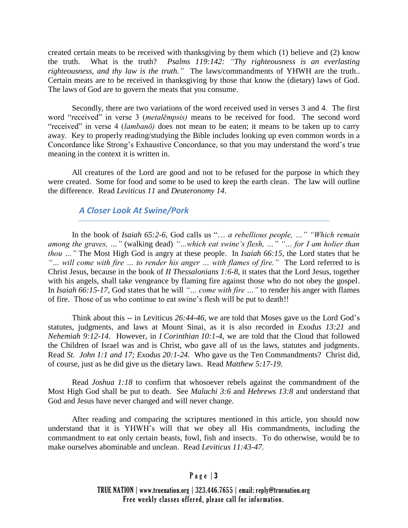created certain meats to be received with thanksgiving by them which (1) believe and (2) know the truth. What is the truth? *Psalms 119:142: "Thy righteousness is an everlasting righteousness, and thy law is the truth."* The laws/commandments of YHWH are the truth.. Certain meats are to be received in thanksgiving by those that know the (dietary) laws of God. The laws of God are to govern the meats that you consume.

Secondly, there are two variations of the word received used in verses 3 and 4. The first word "received" in verse 3 (*metalēmpsis)* means to be received for food. The second word "received" in verse 4 (*lambanō)* does not mean to be eaten; it means to be taken up to carry away. Key to properly reading/studying the Bible includes looking up even common words in a Concordance like Strong's Exhaustive Concordance, so that you may understand the word's true meaning in the context it is written in.

All creatures of the Lord are good and not to be refused for the purpose in which they were created. Some for food and some to be used to keep the earth clean. The law will outline the difference. Read *Leviticus 11* and *Deuteronomy 14*.

# *A Closer Look At Swine/Pork*

In the book of *Isaiah 65:2-6*, God calls us "… *a rebellious people, …" "Which remain among the graves, …"* (walking dead) *"…which eat swine's flesh, …" "… for I am holier than thou …"* The Most High God is angry at these people. In *Isaiah 66:15*, the Lord states that he *"… will come with fire … to render his anger … with flames of fire."* The Lord referred to is Christ Jesus, because in the book of *II Thessalonians 1:6-8*, it states that the Lord Jesus, together with his angels, shall take vengeance by flaming fire against those who do not obey the gospel. In *Isaiah 66:15-17*, God states that he will *"… come with fire …"* to render his anger with flames of fire. Those of us who continue to eat swine's flesh will be put to death!!

Think about this -- in Leviticus *26:44-46*, we are told that Moses gave us the Lord God's statutes, judgments, and laws at Mount Sinai, as it is also recorded in *Exodus 13:21* and *Nehemiah 9:12-14*. However, in *I Corinthian 10:1-4*, we are told that the Cloud that followed the Children of Israel was and is Christ, who gave all of us the laws, statutes and judgments. Read *St. John 1:1 and 17; Exodus 20:1-24*. Who gave us the Ten Commandments? Christ did, of course, just as he did give us the dietary laws. Read *Matthew 5:17-19*.

Read *Joshua 1:18* to confirm that whosoever rebels against the commandment of the Most High God shall be put to death. See *Malachi 3:6* and *Hebrews 13:8* and understand that God and Jesus have never changed and will never change.

After reading and comparing the scriptures mentioned in this article, you should now understand that it is YHWH's will that we obey all His commandments, including the commandment to eat only certain beasts, fowl, fish and insects. To do otherwise, would be to make ourselves abominable and unclean. Read *Leviticus 11:43-47.*

# Page  $|3|$

TRUE NATION | www.truenation.org | 323.446.7655 | email: reply@truenation.org Free weekly classes offered, please call for information.